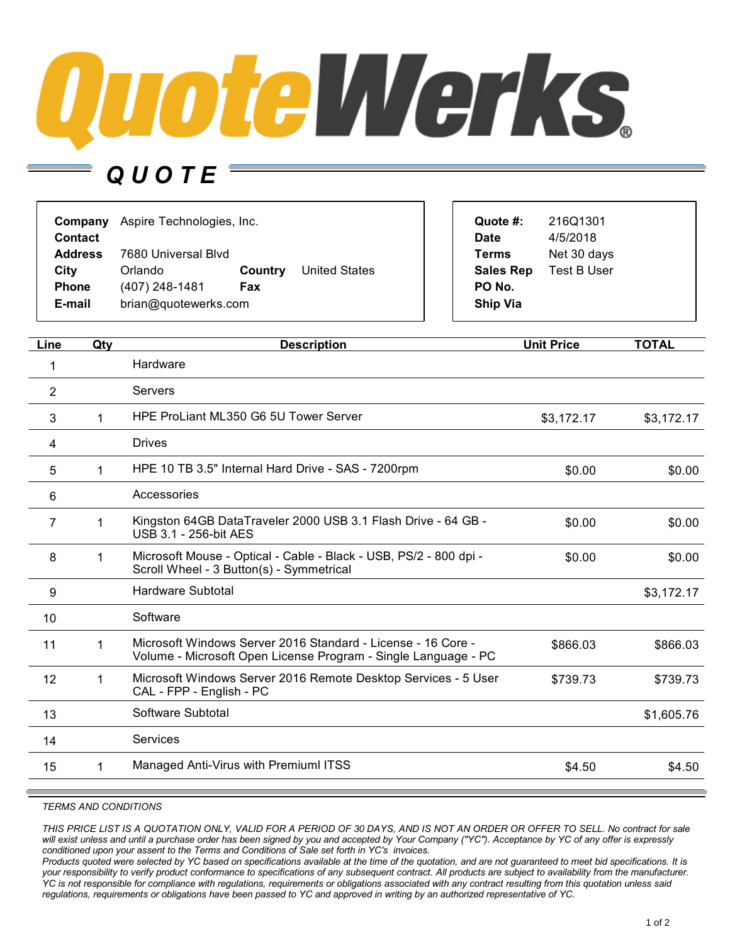

## *Q U O T E*

| Company<br><b>Contact</b> | Aspire Technologies, Inc. |         |                      | Quote #:<br><b>Date</b> | 216Q1301<br>4/5/2018 |
|---------------------------|---------------------------|---------|----------------------|-------------------------|----------------------|
| <b>Address</b>            | 7680 Universal Blyd       |         |                      | <b>Terms</b>            | Net 30 days          |
| City                      | Orlando                   | Country | <b>United States</b> | <b>Sales Rep</b>        | Test B User          |
| <b>Phone</b>              | (407) 248-1481            | Fax     |                      | PO No.                  |                      |
| E-mail                    | brian@quotewerks.com      |         | <b>Ship Via</b>      |                         |                      |

| Line | Qty | <b>Description</b>                                                                                                             | <b>Unit Price</b> | <b>TOTAL</b> |
|------|-----|--------------------------------------------------------------------------------------------------------------------------------|-------------------|--------------|
| 1    |     | Hardware                                                                                                                       |                   |              |
| 2    |     | Servers                                                                                                                        |                   |              |
| 3    |     | HPE ProLiant ML350 G6 5U Tower Server                                                                                          | \$3,172.17        | \$3,172.17   |
| 4    |     | <b>Drives</b>                                                                                                                  |                   |              |
| 5    | 1   | HPE 10 TB 3.5" Internal Hard Drive - SAS - 7200rpm                                                                             | \$0.00            | \$0.00       |
| 6    |     | Accessories                                                                                                                    |                   |              |
| 7    | 1   | Kingston 64GB DataTraveler 2000 USB 3.1 Flash Drive - 64 GB -<br>USB 3.1 - 256-bit AES                                         | \$0.00            | \$0.00       |
| 8    | 1   | Microsoft Mouse - Optical - Cable - Black - USB, PS/2 - 800 dpi -<br>Scroll Wheel - 3 Button(s) - Symmetrical                  | \$0.00            | \$0.00       |
| 9    |     | Hardware Subtotal                                                                                                              |                   | \$3,172.17   |
| 10   |     | Software                                                                                                                       |                   |              |
| 11   | 1   | Microsoft Windows Server 2016 Standard - License - 16 Core -<br>Volume - Microsoft Open License Program - Single Language - PC | \$866.03          | \$866.03     |
| 12   | 1   | Microsoft Windows Server 2016 Remote Desktop Services - 5 User<br>CAL - FPP - English - PC                                     | \$739.73          | \$739.73     |
| 13   |     | Software Subtotal                                                                                                              |                   | \$1,605.76   |
| 14   |     | Services                                                                                                                       |                   |              |
| 15   | 1   | Managed Anti-Virus with Premiuml ITSS                                                                                          | \$4.50            | \$4.50       |

## *TERMS AND CONDITIONS*

THIS PRICE LIST IS A QUOTATION ONLY, VALID FOR A PERIOD OF 30 DAYS, AND IS NOT AN ORDER OR OFFER TO SELL. No contract for sale will exist unless and until a purchase order has been signed by you and accepted by Your Company ("YC"). Acceptance by YC of any offer is expressly *conditioned upon your assent to the Terms and Conditions of Sale set forth in YC's invoices.*

Products quoted were selected by YC based on specifications available at the time of the quotation, and are not guaranteed to meet bid specifications. It is your responsibility to verify product conformance to specifications of any subsequent contract. All products are subject to availability from the manufacturer. YC is not responsible for compliance with regulations, requirements or obligations associated with any contract resulting from this quotation unless said requlations, requirements or obligations have been passed to YC and approved in writing by an authorized representative of YC.